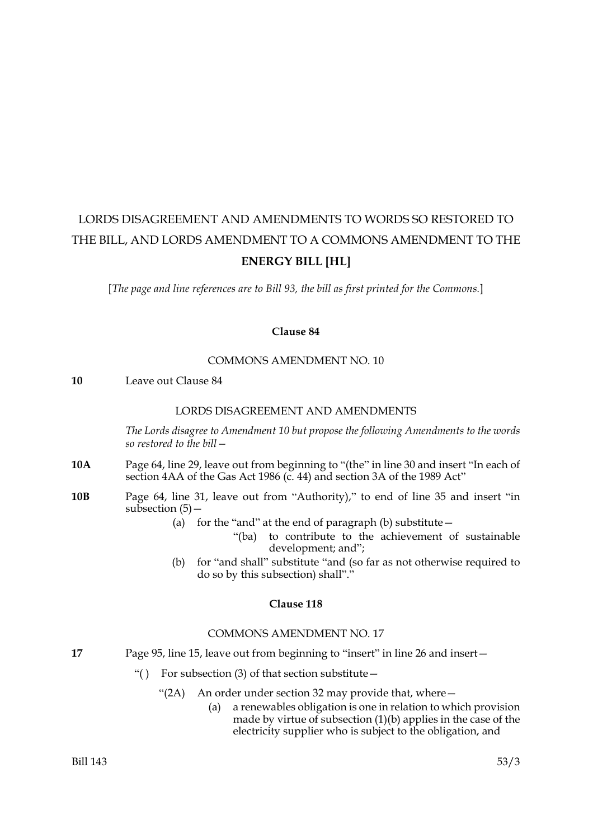# LORDS DISAGREEMENT AND AMENDMENTS TO WORDS SO RESTORED TO THE BILL, AND LORDS AMENDMENT TO A COMMONS AMENDMENT TO THE **ENERGY BILL [HL]**

[*The page and line references are to Bill 93, the bill as first printed for the Commons.*]

## **Clause 84**

#### COMMONS AMENDMENT NO. 10

**10** Leave out Clause 84

#### LORDS DISAGREEMENT AND AMENDMENTS

*The Lords disagree to Amendment 10 but propose the following Amendments to the words so restored to the bill—*

- **10A** Page 64, line 29, leave out from beginning to "(the" in line 30 and insert "In each of section 4AA of the Gas Act 1986 (c. 44) and section 3A of the 1989 Act"
- **10B** Page 64, line 31, leave out from "Authority)," to end of line 35 and insert "in subsection  $(5)$  –
	- (a) for the "and" at the end of paragraph (b) substitute  $-$ 
		- "(ba) to contribute to the achievement of sustainable development; and";
	- (b) for "and shall" substitute "and (so far as not otherwise required to do so by this subsection) shall"."

## **Clause 118**

#### COMMONS AMENDMENT NO. 17

- 17 Page 95, line 15, leave out from beginning to "insert" in line 26 and insert-
	- "( ) For subsection  $(3)$  of that section substitute  $-$ 
		- "(2A) An order under section 32 may provide that, where—
			- (a) a renewables obligation is one in relation to which provision made by virtue of subsection  $(1)(b)$  applies in the case of the electricity supplier who is subject to the obligation, and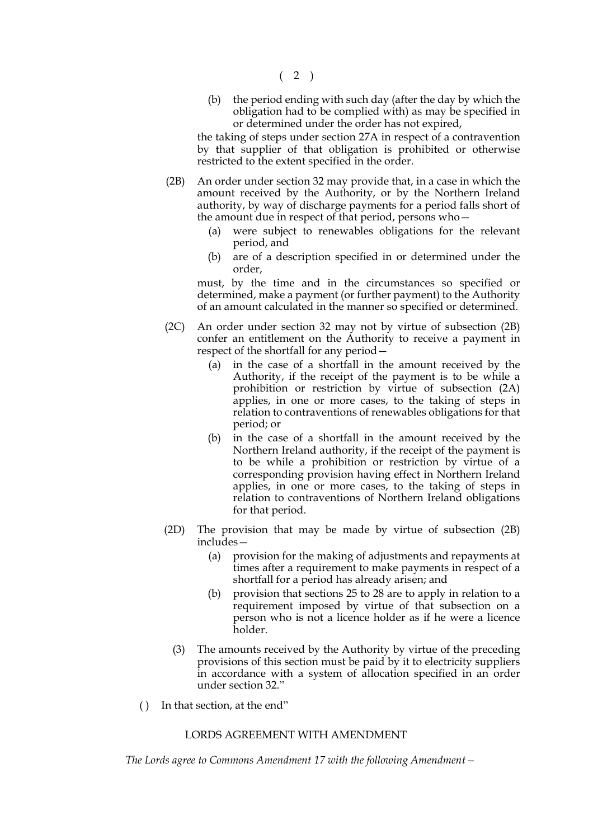$(2)$ 

(b) the period ending with such day (after the day by which the obligation had to be complied with) as may be specified in or determined under the order has not expired,

the taking of steps under section 27A in respect of a contravention by that supplier of that obligation is prohibited or otherwise restricted to the extent specified in the order.

- (2B) An order under section 32 may provide that, in a case in which the amount received by the Authority, or by the Northern Ireland authority, by way of discharge payments for a period falls short of the amount due in respect of that period, persons who—
	- (a) were subject to renewables obligations for the relevant period, and
	- (b) are of a description specified in or determined under the order,

must, by the time and in the circumstances so specified or determined, make a payment (or further payment) to the Authority of an amount calculated in the manner so specified or determined.

- (2C) An order under section 32 may not by virtue of subsection (2B) confer an entitlement on the Authority to receive a payment in respect of the shortfall for any period—
	- (a) in the case of a shortfall in the amount received by the Authority, if the receipt of the payment is to be while a prohibition or restriction by virtue of subsection (2A) applies, in one or more cases, to the taking of steps in relation to contraventions of renewables obligations for that period; or
	- (b) in the case of a shortfall in the amount received by the Northern Ireland authority, if the receipt of the payment is to be while a prohibition or restriction by virtue of a corresponding provision having effect in Northern Ireland applies, in one or more cases, to the taking of steps in relation to contraventions of Northern Ireland obligations for that period.
- (2D) The provision that may be made by virtue of subsection (2B) includes—
	- (a) provision for the making of adjustments and repayments at times after a requirement to make payments in respect of a shortfall for a period has already arisen; and
	- (b) provision that sections 25 to 28 are to apply in relation to a requirement imposed by virtue of that subsection on a person who is not a licence holder as if he were a licence holder.
	- (3) The amounts received by the Authority by virtue of the preceding provisions of this section must be paid by it to electricity suppliers in accordance with a system of allocation specified in an order under section 32."
- ( ) In that section, at the end"

## LORDS AGREEMENT WITH AMENDMENT

*The Lords agree to Commons Amendment 17 with the following Amendment—*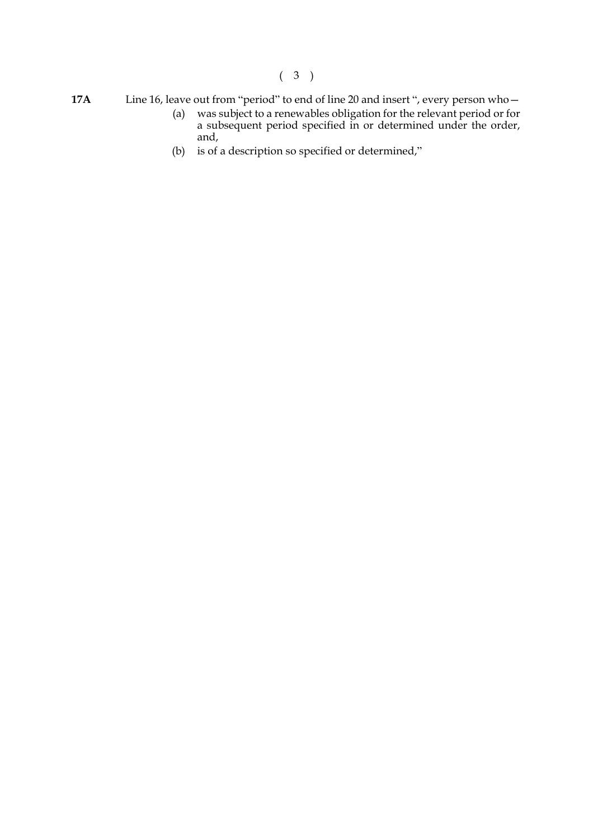(3)

- **17A** Line 16, leave out from "period" to end of line 20 and insert ", every person who—
	- (a) was subject to a renewables obligation for the relevant period or for a subsequent period specified in or determined under the order, and,
	- (b) is of a description so specified or determined,"